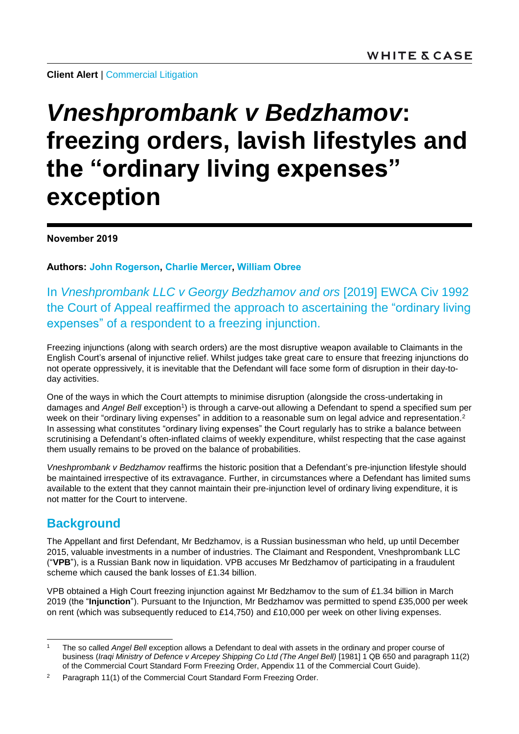**Client Alert** | [Commercial Litigation](https://www.whitecase.com/law/practices/commercial-litigation)

# *Vneshprombank v Bedzhamov***: freezing orders, lavish lifestyles and the "ordinary living expenses" exception**

**November 2019**

**Authors: [John Rogerson,](https://www.whitecase.com/people/john-rogerson) [Charlie Mercer,](https://www.whitecase.com/people/charlie-mercer) [William Obree](https://www.whitecase.com/people/william-obree)**

In *Vneshprombank LLC v Georgy Bedzhamov and ors* [2019] EWCA Civ 1992 the Court of Appeal reaffirmed the approach to ascertaining the "ordinary living expenses" of a respondent to a freezing injunction.

Freezing injunctions (along with search orders) are the most disruptive weapon available to Claimants in the English Court's arsenal of injunctive relief. Whilst judges take great care to ensure that freezing injunctions do not operate oppressively, it is inevitable that the Defendant will face some form of disruption in their day-today activities.

One of the ways in which the Court attempts to minimise disruption (alongside the cross-undertaking in damages and Angel Bell exception<sup>1</sup>) is through a carve-out allowing a Defendant to spend a specified sum per week on their "ordinary living expenses" in addition to a reasonable sum on legal advice and representation.<sup>2</sup> In assessing what constitutes "ordinary living expenses" the Court regularly has to strike a balance between scrutinising a Defendant's often-inflated claims of weekly expenditure, whilst respecting that the case against them usually remains to be proved on the balance of probabilities.

*Vneshprombank v Bedzhamov* reaffirms the historic position that a Defendant's pre-injunction lifestyle should be maintained irrespective of its extravagance. Further, in circumstances where a Defendant has limited sums available to the extent that they cannot maintain their pre-injunction level of ordinary living expenditure, it is not matter for the Court to intervene.

## **Background**

The Appellant and first Defendant, Mr Bedzhamov, is a Russian businessman who held, up until December 2015, valuable investments in a number of industries. The Claimant and Respondent, Vneshprombank LLC ("**VPB**"), is a Russian Bank now in liquidation. VPB accuses Mr Bedzhamov of participating in a fraudulent scheme which caused the bank losses of £1.34 billion.

VPB obtained a High Court freezing injunction against Mr Bedzhamov to the sum of £1.34 billion in March 2019 (the "**Injunction**"). Pursuant to the Injunction, Mr Bedzhamov was permitted to spend £35,000 per week on rent (which was subsequently reduced to £14,750) and £10,000 per week on other living expenses.

l <sup>1</sup> The so called *Angel Bell* exception allows a Defendant to deal with assets in the ordinary and proper course of business (*Iraqi Ministry of Defence v Arcepey Shipping Co Ltd (The Angel Bell)* [1981] 1 QB 650 and paragraph 11(2) of the Commercial Court Standard Form Freezing Order, Appendix 11 of the Commercial Court Guide).

<sup>&</sup>lt;sup>2</sup> Paragraph 11(1) of the Commercial Court Standard Form Freezing Order.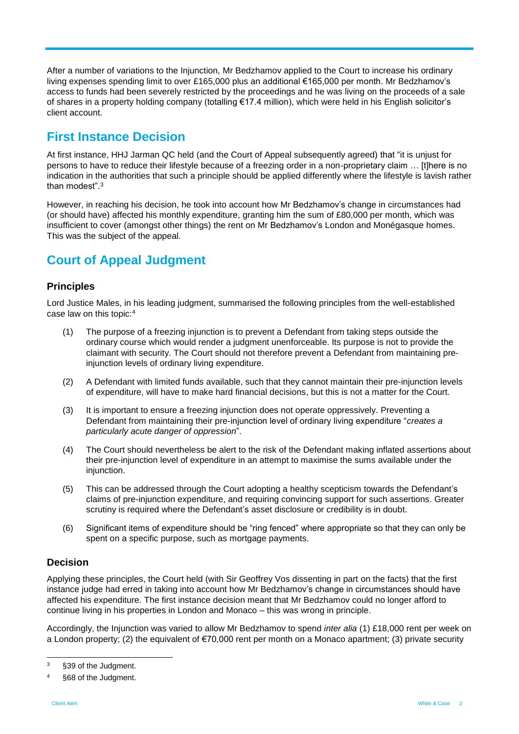After a number of variations to the Injunction, Mr Bedzhamov applied to the Court to increase his ordinary living expenses spending limit to over £165,000 plus an additional €165,000 per month. Mr Bedzhamov's access to funds had been severely restricted by the proceedings and he was living on the proceeds of a sale of shares in a property holding company (totalling €17.4 million), which were held in his English solicitor's client account.

### **First Instance Decision**

At first instance, HHJ Jarman QC held (and the Court of Appeal subsequently agreed) that "it is unjust for persons to have to reduce their lifestyle because of a freezing order in a non-proprietary claim … [t]here is no indication in the authorities that such a principle should be applied differently where the lifestyle is lavish rather than modest".<sup>3</sup>

However, in reaching his decision, he took into account how Mr Bedzhamov's change in circumstances had (or should have) affected his monthly expenditure, granting him the sum of £80,000 per month, which was insufficient to cover (amongst other things) the rent on Mr Bedzhamov's London and Monégasque homes. This was the subject of the appeal.

## **Court of Appeal Judgment**

#### **Principles**

Lord Justice Males, in his leading judgment, summarised the following principles from the well-established case law on this topic:<sup>4</sup>

- (1) The purpose of a freezing injunction is to prevent a Defendant from taking steps outside the ordinary course which would render a judgment unenforceable. Its purpose is not to provide the claimant with security. The Court should not therefore prevent a Defendant from maintaining preinjunction levels of ordinary living expenditure.
- (2) A Defendant with limited funds available, such that they cannot maintain their pre-injunction levels of expenditure, will have to make hard financial decisions, but this is not a matter for the Court.
- (3) It is important to ensure a freezing injunction does not operate oppressively. Preventing a Defendant from maintaining their pre-injunction level of ordinary living expenditure "*creates a particularly acute danger of oppression*".
- (4) The Court should nevertheless be alert to the risk of the Defendant making inflated assertions about their pre-injunction level of expenditure in an attempt to maximise the sums available under the injunction.
- (5) This can be addressed through the Court adopting a healthy scepticism towards the Defendant's claims of pre-injunction expenditure, and requiring convincing support for such assertions. Greater scrutiny is required where the Defendant's asset disclosure or credibility is in doubt.
- (6) Significant items of expenditure should be "ring fenced" where appropriate so that they can only be spent on a specific purpose, such as mortgage payments.

#### **Decision**

Applying these principles, the Court held (with Sir Geoffrey Vos dissenting in part on the facts) that the first instance judge had erred in taking into account how Mr Bedzhamov's change in circumstances should have affected his expenditure. The first instance decision meant that Mr Bedzhamov could no longer afford to continue living in his properties in London and Monaco – this was wrong in principle.

Accordingly, the Injunction was varied to allow Mr Bedzhamov to spend *inter alia* (1) £18,000 rent per week on a London property; (2) the equivalent of €70,000 rent per month on a Monaco apartment; (3) private security

 $\overline{3}$ §39 of the Judgment.

<sup>4</sup> §68 of the Judgment.